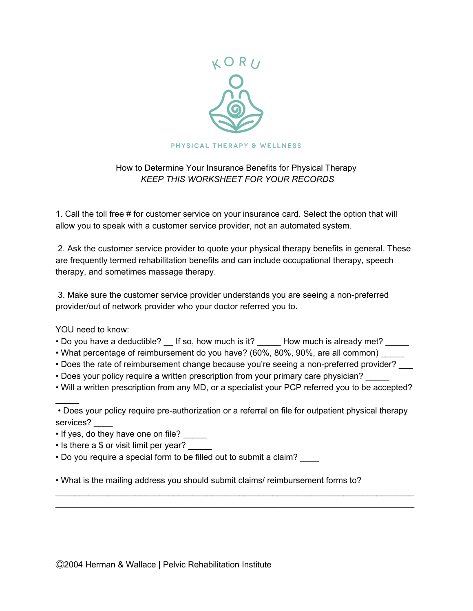

## How to Determine Your Insurance Benefits for Physical Therapy *KEEP THIS WORKSHEET FOR YOUR RECORDS*

1. Call the toll free # for customer service on your insurance card. Select the option that will allow you to speak with a customer service provider, not an automated system.

2. Ask the customer service provider to quote your physical therapy benefits in general. These are frequently termed rehabilitation benefits and can include occupational therapy, speech therapy, and sometimes massage therapy.

3. Make sure the customer service provider understands you are seeing a non-preferred provider/out of network provider who your doctor referred you to.

YOU need to know:

 $\mathcal{L}$ 

- Do you have a deductible?  $\_\_$  If so, how much is it? \_\_\_\_\_ How much is already met? \_\_\_\_\_
- What percentage of reimbursement do you have? (60%, 80%, 90%, are all common)
- Does the rate of reimbursement change because you're seeing a non-preferred provider?
- Does your policy require a written prescription from your primary care physician?
- Will a written prescription from any MD, or a specialist your PCP referred you to be accepted?

\_\_\_\_\_\_\_\_\_\_\_\_\_\_\_\_\_\_\_\_\_\_\_\_\_\_\_\_\_\_\_\_\_\_\_\_\_\_\_\_\_\_\_\_\_\_\_\_\_\_\_\_\_\_\_\_\_\_\_\_\_\_\_\_\_\_\_\_\_\_\_\_\_\_\_\_ \_\_\_\_\_\_\_\_\_\_\_\_\_\_\_\_\_\_\_\_\_\_\_\_\_\_\_\_\_\_\_\_\_\_\_\_\_\_\_\_\_\_\_\_\_\_\_\_\_\_\_\_\_\_\_\_\_\_\_\_\_\_\_\_\_\_\_\_\_\_\_\_\_\_\_\_

- If yes, do they have one on file? \_\_\_\_\_
- Is there a \$ or visit limit per year?
- Do you require a special form to be filled out to submit a claim? \_\_\_\_

• What is the mailing address you should submit claims/ reimbursement forms to?

<sup>•</sup> Does your policy require pre-authorization or a referral on file for outpatient physical therapy services?